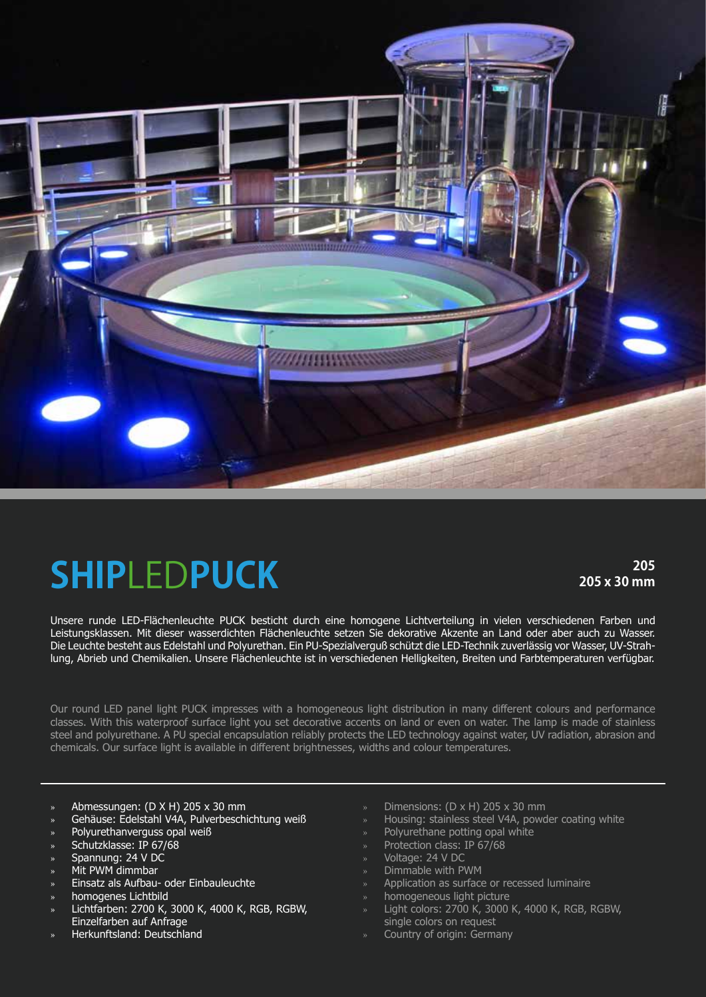

## **SHIP**LED**PUCK**

**205 205 x 30 mm**

Unsere runde LED-Flächenleuchte PUCK besticht durch eine homogene Lichtverteilung in vielen verschiedenen Farben und Leistungsklassen. Mit dieser wasserdichten Flächenleuchte setzen Sie dekorative Akzente an Land oder aber auch zu Wasser. Die Leuchte besteht aus Edelstahl und Polyurethan. Ein PU-Spezialverguß schützt die LED-Technik zuverlässig vor Wasser, UV-Strahlung, Abrieb und Chemikalien. Unsere Flächenleuchte ist in verschiedenen Helligkeiten, Breiten und Farbtemperaturen verfügbar.

Our round LED panel light PUCK impresses with a homogeneous light distribution in many different colours and performance classes. With this waterproof surface light you set decorative accents on land or even on water. The lamp is made of stainless steel and polyurethane. A PU special encapsulation reliably protects the LED technology against water, UV radiation, abrasion and chemicals. Our surface light is available in different brightnesses, widths and colour temperatures.

- » Abmessungen: (D X H) 205 x 30 mm
- » Gehäuse: Edelstahl V4A, Pulverbeschichtung weiß
- Polyurethanverguss opal weiß
- » Schutzklasse: IP 67/68
- » Spannung: 24 V DC
- » Mit PWM dimmbar
- » Einsatz als Aufbau- oder Einbauleuchte
- » homogenes Lichtbild
- » Lichtfarben: 2700 K, 3000 K, 4000 K, RGB, RGBW, Einzelfarben auf Anfrage
- » Herkunftsland: Deutschland
- Dimensions:  $(D \times H)$  205  $\times$  30 mm
- » Housing: stainless steel V4A, powder coating white
- » Polyurethane potting opal white
- » Protection class: IP 67/68
- » Voltage: 24 V DC
- » Dimmable with PWM
- » Application as surface or recessed luminaire
- » homogeneous light picture
- » Light colors: 2700 K, 3000 K, 4000 K, RGB, RGBW, single colors on request
- » Country of origin: Germany